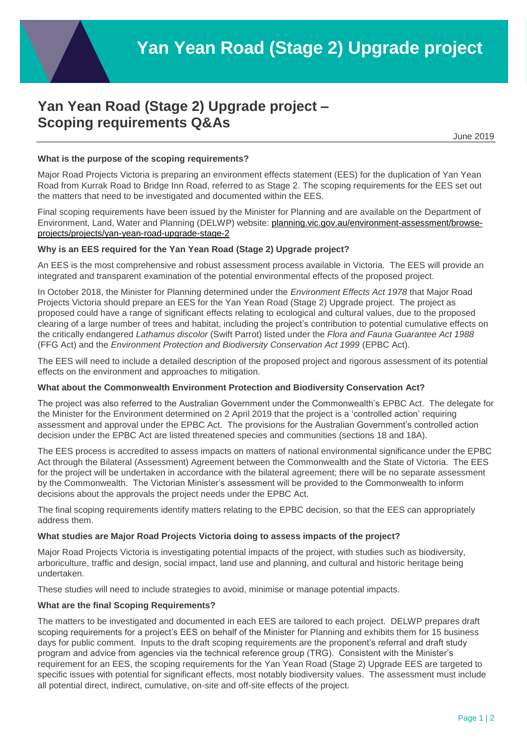## **Yan Yean Road (Stage 2) Upgrade project – Scoping requirements Q&As**

June 2019

### **What is the purpose of the scoping requirements?**

Major Road Projects Victoria is preparing an environment effects statement (EES) for the duplication of Yan Yean Road from Kurrak Road to Bridge Inn Road, referred to as Stage 2. The scoping requirements for the EES set out the matters that need to be investigated and documented within the EES.

Final scoping requirements have been issued by the Minister for Planning and are available on the Department of Environment, Land, Water and Planning (DELWP) website: [planning.vic.gov.au/environment-assessment/browse](https://www.planning.vic.gov.au/environment-assessment/browse-projects/projects/yan-yean-road-upgrade-stage-2)[projects/projects/yan-yean-road-upgrade-stage-2](https://www.planning.vic.gov.au/environment-assessment/browse-projects/projects/yan-yean-road-upgrade-stage-2)

### **Why is an EES required for the Yan Yean Road (Stage 2) Upgrade project?**

An EES is the most comprehensive and robust assessment process available in Victoria. The EES will provide an integrated and transparent examination of the potential environmental effects of the proposed project.

In October 2018, the Minister for Planning determined under the *Environment Effects Act 1978* that Major Road Projects Victoria should prepare an EES for the Yan Yean Road (Stage 2) Upgrade project. The project as proposed could have a range of significant effects relating to ecological and cultural values, due to the proposed clearing of a large number of trees and habitat, including the project's contribution to potential cumulative effects on the critically endangered *Lathamus discolor* (Swift Parrot) listed under the *Flora and Fauna Guarantee Act 1988* (FFG Act) and the *Environment Protection and Biodiversity Conservation Act 1999* (EPBC Act).

The EES will need to include a detailed description of the proposed project and rigorous assessment of its potential effects on the environment and approaches to mitigation.

### **What about the Commonwealth Environment Protection and Biodiversity Conservation Act?**

The project was also referred to the Australian Government under the Commonwealth's EPBC Act. The delegate for the Minister for the Environment determined on 2 April 2019 that the project is a 'controlled action' requiring assessment and approval under the EPBC Act. The provisions for the Australian Government's controlled action decision under the EPBC Act are listed threatened species and communities (sections 18 and 18A).

The EES process is accredited to assess impacts on matters of national environmental significance under the EPBC Act through the Bilateral (Assessment) Agreement between the Commonwealth and the State of Victoria. The EES for the project will be undertaken in accordance with the bilateral agreement; there will be no separate assessment by the Commonwealth. The Victorian Minister's assessment will be provided to the Commonwealth to inform decisions about the approvals the project needs under the EPBC Act.

The final scoping requirements identify matters relating to the EPBC decision, so that the EES can appropriately address them.

### **What studies are Major Road Projects Victoria doing to assess impacts of the project?**

Major Road Projects Victoria is investigating potential impacts of the project, with studies such as biodiversity, arboriculture, traffic and design, social impact, land use and planning, and cultural and historic heritage being undertaken.

These studies will need to include strategies to avoid, minimise or manage potential impacts.

### **What are the final Scoping Requirements?**

The matters to be investigated and documented in each EES are tailored to each project. DELWP prepares draft scoping requirements for a project's EES on behalf of the Minister for Planning and exhibits them for 15 business days for public comment. Inputs to the draft scoping requirements are the proponent's referral and draft study program and advice from agencies via the technical reference group (TRG). Consistent with the Minister's requirement for an EES, the scoping requirements for the Yan Yean Road (Stage 2) Upgrade EES are targeted to specific issues with potential for significant effects, most notably biodiversity values. The assessment must include all potential direct, indirect, cumulative, on-site and off-site effects of the project.